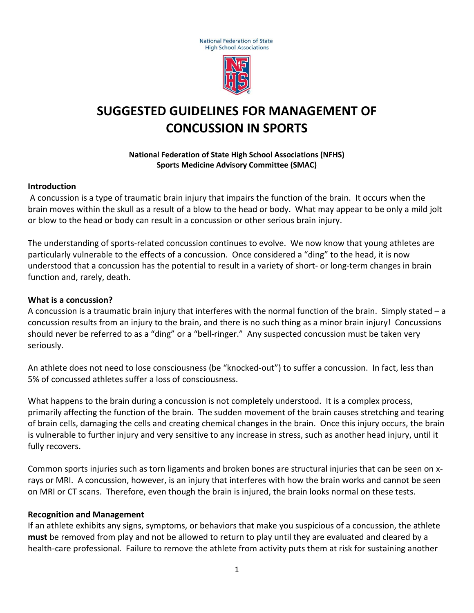



# **SUGGESTED GUIDELINES FOR MANAGEMENT OF CONCUSSION IN SPORTS**

#### **National Federation of State High School Associations (NFHS) Sports Medicine Advisory Committee (SMAC)**

#### **Introduction**

A concussion is a type of traumatic brain injury that impairs the function of the brain. It occurs when the brain moves within the skull as a result of a blow to the head or body. What may appear to be only a mild jolt or blow to the head or body can result in a concussion or other serious brain injury.

The understanding of sports-related concussion continues to evolve. We now know that young athletes are particularly vulnerable to the effects of a concussion. Once considered a "ding" to the head, it is now understood that a concussion has the potential to result in a variety of short- or long-term changes in brain function and, rarely, death.

#### **What is a concussion?**

A concussion is a traumatic brain injury that interferes with the normal function of the brain. Simply stated – a concussion results from an injury to the brain, and there is no such thing as a minor brain injury! Concussions should never be referred to as a "ding" or a "bell-ringer." Any suspected concussion must be taken very seriously.

An athlete does not need to lose consciousness (be "knocked-out") to suffer a concussion. In fact, less than 5% of concussed athletes suffer a loss of consciousness.

What happens to the brain during a concussion is not completely understood. It is a complex process, primarily affecting the function of the brain. The sudden movement of the brain causes stretching and tearing of brain cells, damaging the cells and creating chemical changes in the brain. Once this injury occurs, the brain is vulnerable to further injury and very sensitive to any increase in stress, such as another head injury, until it fully recovers.

Common sports injuries such as torn ligaments and broken bones are structural injuries that can be seen on xrays or MRI. A concussion, however, is an injury that interferes with how the brain works and cannot be seen on MRI or CT scans. Therefore, even though the brain is injured, the brain looks normal on these tests.

#### **Recognition and Management**

If an athlete exhibits any signs, symptoms, or behaviors that make you suspicious of a concussion, the athlete **must** be removed from play and not be allowed to return to play until they are evaluated and cleared by a health-care professional. Failure to remove the athlete from activity puts them at risk for sustaining another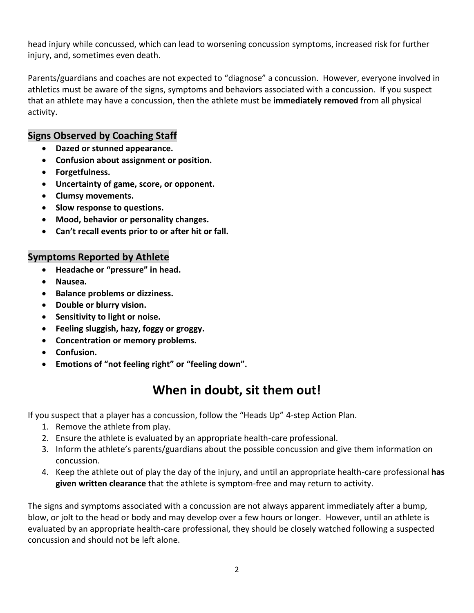head injury while concussed, which can lead to worsening concussion symptoms, increased risk for further injury, and, sometimes even death.

Parents/guardians and coaches are not expected to "diagnose" a concussion. However, everyone involved in athletics must be aware of the signs, symptoms and behaviors associated with a concussion. If you suspect that an athlete may have a concussion, then the athlete must be **immediately removed** from all physical activity.

### **Signs Observed by Coaching Staff**

- **Dazed or stunned appearance.**
- **Confusion about assignment or position.**
- **Forgetfulness.**
- **Uncertainty of game, score, or opponent.**
- **Clumsy movements.**
- **Slow response to questions.**
- **Mood, behavior or personality changes.**
- **Can't recall events prior to or after hit or fall.**

# **Symptoms Reported by Athlete**

- **Headache or "pressure" in head.**
- **Nausea.**
- **Balance problems or dizziness.**
- **Double or blurry vision.**
- **Sensitivity to light or noise.**
- **Feeling sluggish, hazy, foggy or groggy.**
- **Concentration or memory problems.**
- **Confusion.**
- **Emotions of "not feeling right" or "feeling down".**

# **When in doubt, sit them out!**

If you suspect that a player has a concussion, follow the "Heads Up" 4-step Action Plan.

- 1. Remove the athlete from play.
- 2. Ensure the athlete is evaluated by an appropriate health-care professional.
- 3. Inform the athlete's parents/guardians about the possible concussion and give them information on concussion.
- 4. Keep the athlete out of play the day of the injury, and until an appropriate health-care professional **has given written clearance** that the athlete is symptom-free and may return to activity.

The signs and symptoms associated with a concussion are not always apparent immediately after a bump, blow, or jolt to the head or body and may develop over a few hours or longer. However, until an athlete is evaluated by an appropriate health-care professional, they should be closely watched following a suspected concussion and should not be left alone.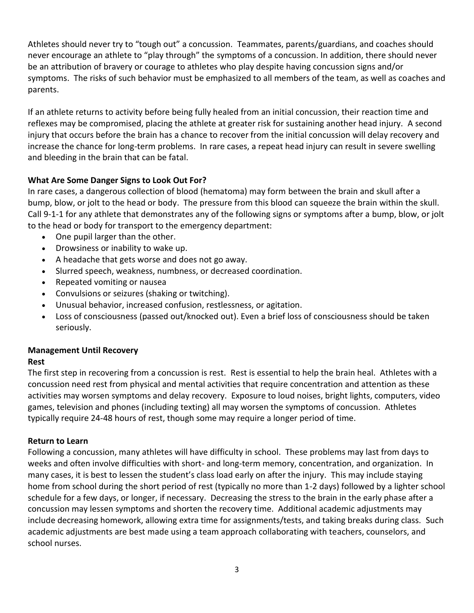Athletes should never try to "tough out" a concussion. Teammates, parents/guardians, and coaches should never encourage an athlete to "play through" the symptoms of a concussion. In addition, there should never be an attribution of bravery or courage to athletes who play despite having concussion signs and/or symptoms. The risks of such behavior must be emphasized to all members of the team, as well as coaches and parents.

If an athlete returns to activity before being fully healed from an initial concussion, their reaction time and reflexes may be compromised, placing the athlete at greater risk for sustaining another head injury. A second injury that occurs before the brain has a chance to recover from the initial concussion will delay recovery and increase the chance for long-term problems. In rare cases, a repeat head injury can result in severe swelling and bleeding in the brain that can be fatal.

# **What Are Some Danger Signs to Look Out For?**

In rare cases, a dangerous collection of blood (hematoma) may form between the brain and skull after a bump, blow, or jolt to the head or body. The pressure from this blood can squeeze the brain within the skull. Call 9-1-1 for any athlete that demonstrates any of the following signs or symptoms after a bump, blow, or jolt to the head or body for transport to the emergency department:

- One pupil larger than the other.
- Drowsiness or inability to wake up.
- A headache that gets worse and does not go away.
- Slurred speech, weakness, numbness, or decreased coordination.
- Repeated vomiting or nausea
- Convulsions or seizures (shaking or twitching).
- Unusual behavior, increased confusion, restlessness, or agitation.
- Loss of consciousness (passed out/knocked out). Even a brief loss of consciousness should be taken seriously.

### **Management Until Recovery**

### **Rest**

The first step in recovering from a concussion is rest. Rest is essential to help the brain heal. Athletes with a concussion need rest from physical and mental activities that require concentration and attention as these activities may worsen symptoms and delay recovery. Exposure to loud noises, bright lights, computers, video games, television and phones (including texting) all may worsen the symptoms of concussion. Athletes typically require 24-48 hours of rest, though some may require a longer period of time.

### **Return to Learn**

Following a concussion, many athletes will have difficulty in school. These problems may last from days to weeks and often involve difficulties with short- and long-term memory, concentration, and organization. In many cases, it is best to lessen the student's class load early on after the injury. This may include staying home from school during the short period of rest (typically no more than 1-2 days) followed by a lighter school schedule for a few days, or longer, if necessary. Decreasing the stress to the brain in the early phase after a concussion may lessen symptoms and shorten the recovery time. Additional academic adjustments may include decreasing homework, allowing extra time for assignments/tests, and taking breaks during class. Such academic adjustments are best made using a team approach collaborating with teachers, counselors, and school nurses.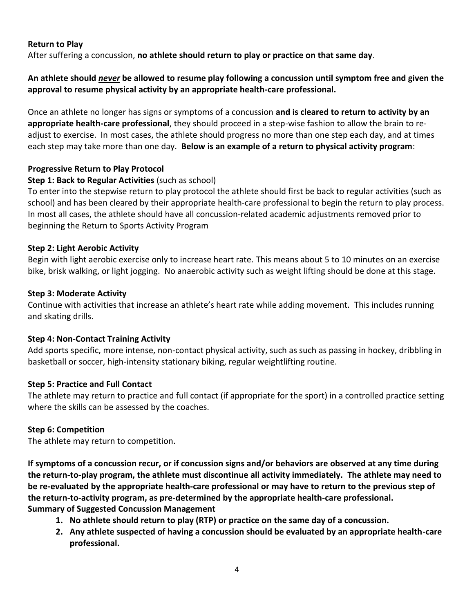#### **Return to Play**

After suffering a concussion, **no athlete should return to play or practice on that same day**.

### **An athlete should** *never* **be allowed to resume play following a concussion until symptom free and given the approval to resume physical activity by an appropriate health-care professional.**

Once an athlete no longer has signs or symptoms of a concussion **and is cleared to return to activity by an appropriate health-care professional**, they should proceed in a step-wise fashion to allow the brain to readjust to exercise. In most cases, the athlete should progress no more than one step each day, and at times each step may take more than one day. **Below is an example of a return to physical activity program**:

#### **Progressive Return to Play Protocol**

#### **Step 1: Back to Regular Activities** (such as school)

To enter into the stepwise return to play protocol the athlete should first be back to regular activities (such as school) and has been cleared by their appropriate health-care professional to begin the return to play process. In most all cases, the athlete should have all concussion-related academic adjustments removed prior to beginning the Return to Sports Activity Program

#### **Step 2: Light Aerobic Activity**

Begin with light aerobic exercise only to increase heart rate. This means about 5 to 10 minutes on an exercise bike, brisk walking, or light jogging. No anaerobic activity such as weight lifting should be done at this stage.

#### **Step 3: Moderate Activity**

Continue with activities that increase an athlete's heart rate while adding movement. This includes running and skating drills.

#### **Step 4: Non-Contact Training Activity**

Add sports specific, more intense, non-contact physical activity, such as such as passing in hockey, dribbling in basketball or soccer, high-intensity stationary biking, regular weightlifting routine.

#### **Step 5: Practice and Full Contact**

The athlete may return to practice and full contact (if appropriate for the sport) in a controlled practice setting where the skills can be assessed by the coaches.

### **Step 6: Competition**

The athlete may return to competition.

**If symptoms of a concussion recur, or if concussion signs and/or behaviors are observed at any time during the return-to-play program, the athlete must discontinue all activity immediately. The athlete may need to be re-evaluated by the appropriate health-care professional or may have to return to the previous step of the return-to-activity program, as pre-determined by the appropriate health-care professional. Summary of Suggested Concussion Management** 

- **1. No athlete should return to play (RTP) or practice on the same day of a concussion.**
- **2. Any athlete suspected of having a concussion should be evaluated by an appropriate health-care professional.**